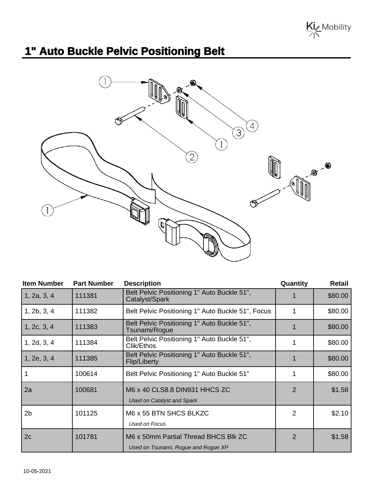Kiz Mobility

## **1" Auto Buckle Pelvic Positioning Belt**



| <b>Item Number</b> | <b>Part Number</b> | <b>Description</b>                                                          | Quantity       | <b>Retail</b> |
|--------------------|--------------------|-----------------------------------------------------------------------------|----------------|---------------|
| 1, 2a, 3, 4        | 111381             | Belt Pelvic Positioning 1" Auto Buckle 51",<br>Catalyst/Spark               |                | \$80.00       |
| 1, 2b, 3, 4        | 111382             | Belt Pelvic Positioning 1" Auto Buckle 51", Focus                           |                | \$80.00       |
| 1, 2c, 3, 4        | 111383             | Belt Pelvic Positioning 1" Auto Buckle 51",<br>Tsunami/Rogue                |                | \$80.00       |
| 1, 2d, 3, 4        | 111384             | Belt Pelvic Positioning 1" Auto Buckle 51",<br>Clik/Ethos                   |                | \$80.00       |
| 1, 2e, 3, 4        | 111385             | Belt Pelvic Positioning 1" Auto Buckle 51",<br>Flip/Liberty                 |                | \$80.00       |
|                    | 100614             | Belt Pelvic Positioning 1" Auto Buckle 51"                                  |                | \$80.00       |
| 2a                 | 100681             | M6 x 40 CLS8.8 DIN931 HHCS ZC<br><b>Used on Catalyst and Spark</b>          | $\overline{2}$ | \$1.58        |
| 2 <sub>b</sub>     | 101125             | M6 x 55 BTN SHCS BLKZC<br>Used on Focus                                     | 2              | \$2.10        |
| 2c                 | 101781             | M6 x 50mm Partial Thread BHCS Blk ZC<br>Used on Tsunami, Rogue and Rogue XP | $\overline{2}$ | \$1.58        |